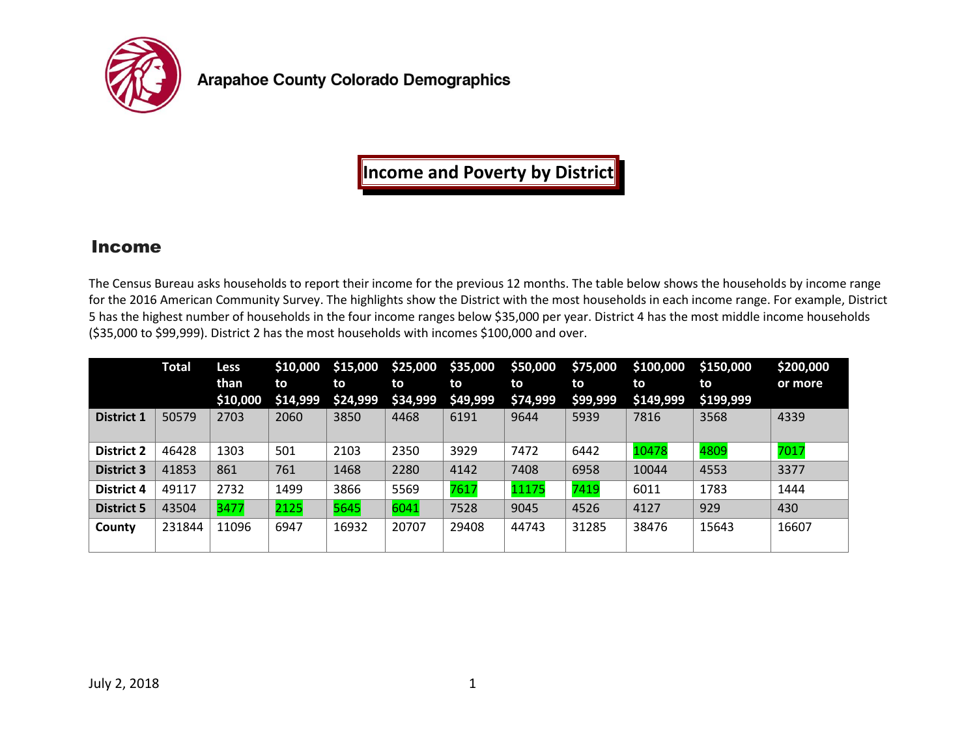

**Arapahoe County Colorado Demographics** 

## **Income and Poverty by District**

## Income

The Census Bureau asks households to report their income for the previous 12 months. The table below shows the households by income range for the 2016 American Community Survey. The highlights show the District with the most households in each income range. For example, District 5 has the highest number of households in the four income ranges below \$35,000 per year. District 4 has the most middle income households (\$35,000 to \$99,999). District 2 has the most households with incomes \$100,000 and over.

|                   | <b>Total</b> | Less     | \$10,000 | \$15,000 | \$25,000 | \$35,000 | \$50,000 | \$75,000 | \$100,000 | \$150,000 | \$200,000 |
|-------------------|--------------|----------|----------|----------|----------|----------|----------|----------|-----------|-----------|-----------|
|                   |              | than     | to       | to       | to       | to       | to       | to       | to        | to        | or more   |
|                   |              | \$10,000 | \$14,999 | \$24,999 | \$34,999 | \$49,999 | \$74,999 | \$99,999 | \$149,999 | \$199,999 |           |
| <b>District 1</b> | 50579        | 2703     | 2060     | 3850     | 4468     | 6191     | 9644     | 5939     | 7816      | 3568      | 4339      |
|                   |              |          |          |          |          |          |          |          |           |           |           |
| <b>District 2</b> | 46428        | 1303     | 501      | 2103     | 2350     | 3929     | 7472     | 6442     | 10478     | 4809      | 7017      |
| <b>District 3</b> | 41853        | 861      | 761      | 1468     | 2280     | 4142     | 7408     | 6958     | 10044     | 4553      | 3377      |
| <b>District 4</b> | 49117        | 2732     | 1499     | 3866     | 5569     | 7617     | 11175    | 7419     | 6011      | 1783      | 1444      |
| <b>District 5</b> | 43504        | 3477     | 2125     | 5645     | 6041     | 7528     | 9045     | 4526     | 4127      | 929       | 430       |
| County            | 231844       | 11096    | 6947     | 16932    | 20707    | 29408    | 44743    | 31285    | 38476     | 15643     | 16607     |
|                   |              |          |          |          |          |          |          |          |           |           |           |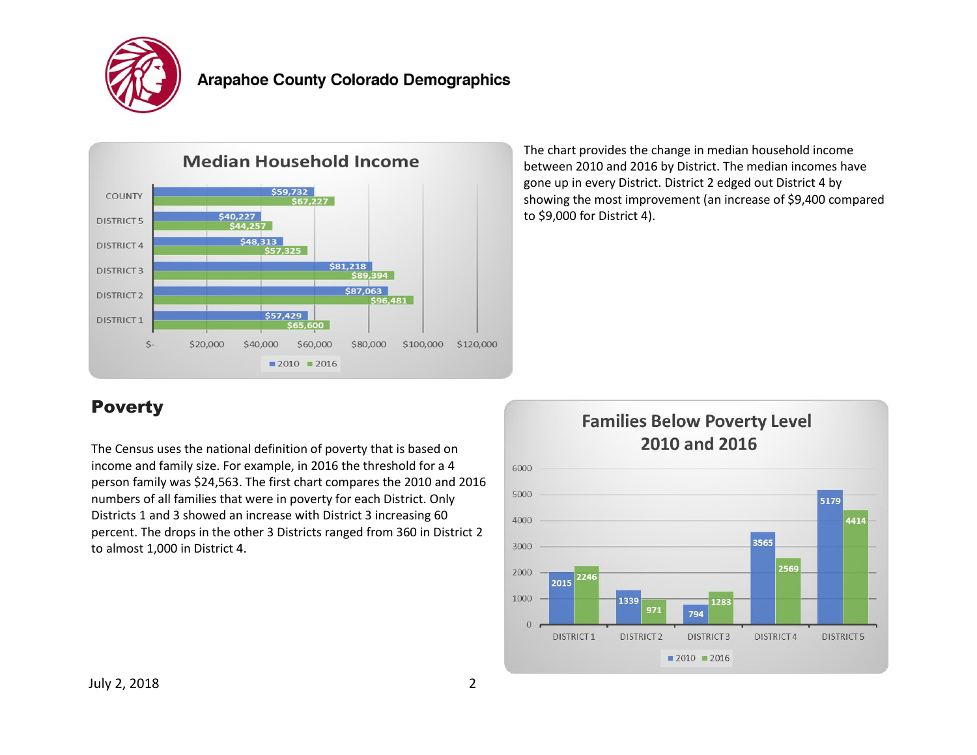



The chart provides the change in median household income between 2010 and 2016 by District. The median incomes have gone up in every District. District 2 edged out District 4 by showing the most improvement (an increase of \$9,400 compared to \$9,000 for District 4).

## Poverty

The Census uses the national definition of poverty that is based on income and family size. For example, in 2016 the threshold for a 4 person family was \$24,563. The first chart compares the 2010 and 2016 numbers of all families that were in poverty for each District. Only Districts 1 and 3 showed an increase with District 3 increasing 60 percent. The drops in the other 3 Districts ranged from 360 in District 2 to almost 1,000 in District 4.